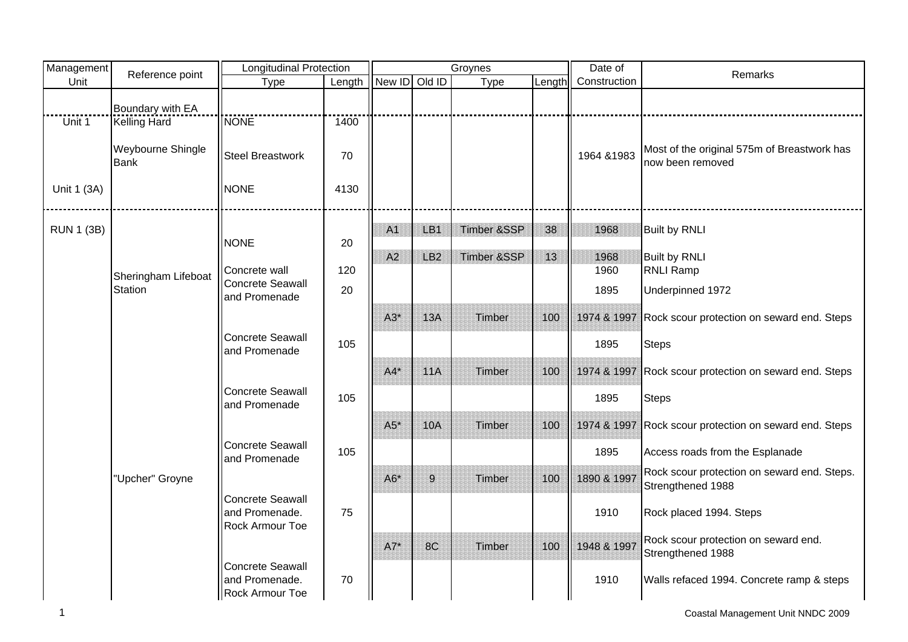| Management        | Reference point                  | <b>Longitudinal Protection</b>                                      |        |               |                 | Groynes                |        | Date of      | Remarks                                                          |
|-------------------|----------------------------------|---------------------------------------------------------------------|--------|---------------|-----------------|------------------------|--------|--------------|------------------------------------------------------------------|
| Unit              |                                  | Type                                                                | Length | New ID Old ID |                 | Type                   | Length | Construction |                                                                  |
|                   | Boundary with EA                 |                                                                     |        |               |                 |                        |        |              |                                                                  |
| Unit 1            | <b>Kelling Hard</b>              | <b>NONE</b>                                                         | 1400   |               |                 |                        |        |              |                                                                  |
|                   | Weybourne Shingle<br><b>Bank</b> | <b>Steel Breastwork</b>                                             | 70     |               |                 |                        |        | 1964 & 1983  | Most of the original 575m of Breastwork has<br>now been removed  |
| Unit 1 (3A)       |                                  | <b>NONE</b>                                                         | 4130   |               |                 |                        |        |              |                                                                  |
| <b>RUN 1 (3B)</b> |                                  |                                                                     |        | A1            | LB1             | Timber &SSP            | 38     | 1968         | <b>Built by RNLI</b>                                             |
|                   |                                  | <b>NONE</b>                                                         | 20     |               |                 |                        |        |              |                                                                  |
|                   |                                  |                                                                     |        | A2            | LB <sub>2</sub> | <b>Timber &amp;SSP</b> | 13     | 1968         | <b>Built by RNLI</b>                                             |
|                   | Sheringham Lifeboat              | Concrete wall<br>Concrete Seawall                                   | 120    |               |                 |                        |        | 1960         | <b>RNLI Ramp</b>                                                 |
|                   | <b>Station</b>                   | and Promenade                                                       | 20     |               |                 |                        |        | 1895         | Underpinned 1972                                                 |
|                   |                                  |                                                                     |        | $A3*$         | 13A             | Timber                 | 100    | 1974 & 1997  | Rock scour protection on seward end. Steps                       |
|                   |                                  | Concrete Seawall<br>and Promenade                                   | 105    |               |                 |                        |        | 1895         | <b>Steps</b>                                                     |
|                   |                                  |                                                                     |        | $A4*$         | 11A             | Timber                 | 100    | 1974 & 1997  | Rock scour protection on seward end. Steps                       |
|                   |                                  | Concrete Seawall<br>and Promenade                                   | 105    |               |                 |                        |        | 1895         | <b>Steps</b>                                                     |
|                   |                                  |                                                                     |        | $A5*$         | <b>10A</b>      | Timber                 | 100    |              | 1974 & 1997 Rock scour protection on seward end. Steps           |
|                   |                                  | Concrete Seawall<br>and Promenade                                   | 105    |               |                 |                        |        | 1895         | Access roads from the Esplanade                                  |
|                   | "Upcher" Groyne                  |                                                                     |        | $A6*$         | 9               | Timber                 | 100    | 1890 & 1997  | Rock scour protection on seward end. Steps.<br>Strengthened 1988 |
|                   |                                  | <b>Concrete Seawall</b><br>and Promenade.<br><b>Rock Armour Toe</b> | 75     |               |                 |                        |        | 1910         | Rock placed 1994. Steps                                          |
|                   |                                  |                                                                     |        | $A7*$         | 8C              | Timber                 | 100    | 1948 & 1997  | Rock scour protection on seward end.<br>Strengthened 1988        |
|                   |                                  | Concrete Seawall<br>and Promenade.<br>Rock Armour Toe               | 70     |               |                 |                        |        | 1910         | Walls refaced 1994. Concrete ramp & steps                        |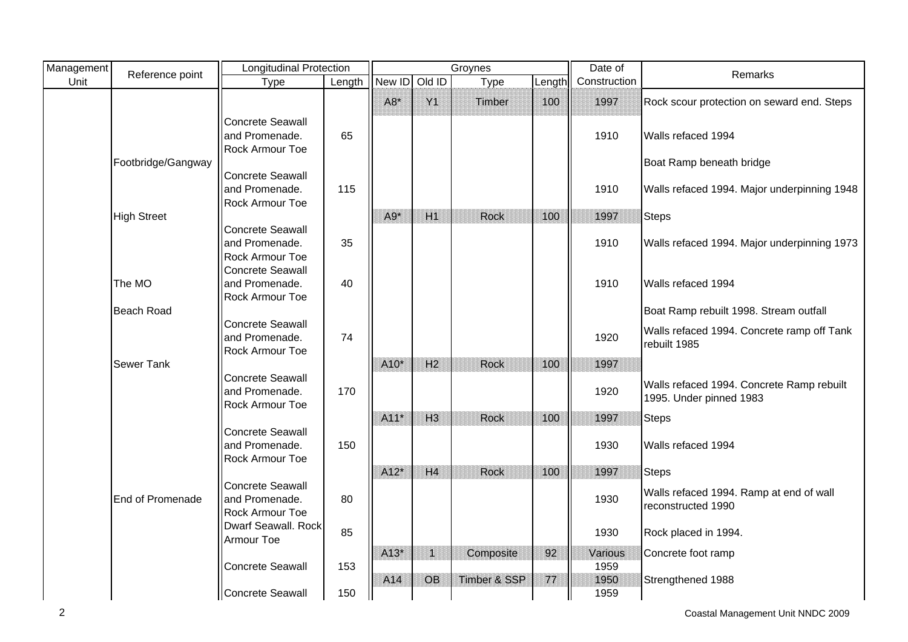| Management | Reference point    | <b>Longitudinal Protection</b>    |        |        |                | Groynes                 |         | Date of      | Remarks                                     |
|------------|--------------------|-----------------------------------|--------|--------|----------------|-------------------------|---------|--------------|---------------------------------------------|
| Unit       |                    | Type                              | Length | New ID | Old ID         | Type                    | Length  | Construction |                                             |
|            |                    |                                   |        | $A8*$  | Y1             | Timber                  | 100     | 1997         | Rock scour protection on seward end. Steps  |
|            |                    | <b>Concrete Seawall</b>           |        |        |                |                         |         |              |                                             |
|            |                    | and Promenade.                    | 65     |        |                |                         |         | 1910         | Walls refaced 1994                          |
|            |                    | <b>Rock Armour Toe</b>            |        |        |                |                         |         |              |                                             |
|            | Footbridge/Gangway |                                   |        |        |                |                         |         |              | Boat Ramp beneath bridge                    |
|            |                    | Concrete Seawall                  |        |        |                |                         |         |              |                                             |
|            |                    | and Promenade.                    | 115    |        |                |                         |         | 1910         | Walls refaced 1994. Major underpinning 1948 |
|            | <b>High Street</b> | Rock Armour Toe                   |        | $A9*$  | H1             | <b>Rock</b>             | 100     | 1997         |                                             |
|            |                    | Concrete Seawall                  |        |        |                |                         |         |              | <b>Steps</b>                                |
|            |                    | and Promenade.                    | 35     |        |                |                         |         | 1910         | Walls refaced 1994. Major underpinning 1973 |
|            |                    | <b>Rock Armour Toe</b>            |        |        |                |                         |         |              |                                             |
|            |                    | <b>Concrete Seawall</b>           |        |        |                |                         |         |              |                                             |
|            | The MO             | and Promenade.                    | 40     |        |                |                         |         | 1910         | Walls refaced 1994                          |
|            |                    | <b>Rock Armour Toe</b>            |        |        |                |                         |         |              |                                             |
|            | <b>Beach Road</b>  |                                   |        |        |                |                         |         |              | Boat Ramp rebuilt 1998. Stream outfall      |
|            |                    | Concrete Seawall                  |        |        |                |                         |         |              | Walls refaced 1994. Concrete ramp off Tank  |
|            |                    | and Promenade.<br>Rock Armour Toe | 74     |        |                |                         |         | 1920         | rebuilt 1985                                |
|            | Sewer Tank         |                                   |        | A10*   | H <sub>2</sub> | <b>Rock</b>             | 100     | 1997         |                                             |
|            |                    | Concrete Seawall                  |        |        |                |                         |         |              |                                             |
|            |                    | and Promenade.                    | 170    |        |                |                         |         | 1920         | Walls refaced 1994. Concrete Ramp rebuilt   |
|            |                    | <b>Rock Armour Toe</b>            |        |        |                |                         |         |              | 1995. Under pinned 1983                     |
|            |                    |                                   |        | $A11*$ | H <sub>3</sub> | Rock                    | 100     | 1997         | <b>Steps</b>                                |
|            |                    | <b>Concrete Seawall</b>           |        |        |                |                         |         |              |                                             |
|            |                    | and Promenade.                    | 150    |        |                |                         |         | 1930         | Walls refaced 1994                          |
|            |                    | Rock Armour Toe                   |        |        |                |                         |         |              |                                             |
|            |                    | Concrete Seawall                  |        | $A12*$ | H4             | <b>Rock</b>             | 100     | 1997         | <b>Steps</b>                                |
|            | End of Promenade   | and Promenade.                    | 80     |        |                |                         |         | 1930         | Walls refaced 1994. Ramp at end of wall     |
|            |                    | Rock Armour Toe                   |        |        |                |                         |         |              | reconstructed 1990                          |
|            |                    | Dwarf Seawall. Rock               |        |        |                |                         |         |              |                                             |
|            |                    | Armour Toe                        | 85     |        |                |                         |         | 1930         | Rock placed in 1994.                        |
|            |                    |                                   |        | $A13*$ | $\mathbf{1}$   | Composite               | 92      | Various      | Concrete foot ramp                          |
|            |                    | <b>Concrete Seawall</b>           | 153    |        |                |                         |         | 1959         |                                             |
|            |                    |                                   |        | A14    | <b>OB</b>      | <b>Timber &amp; SSP</b> | $77 \,$ | 1950         | Strengthened 1988                           |
|            |                    | Concrete Seawall                  | 150    |        |                |                         |         | 1959         |                                             |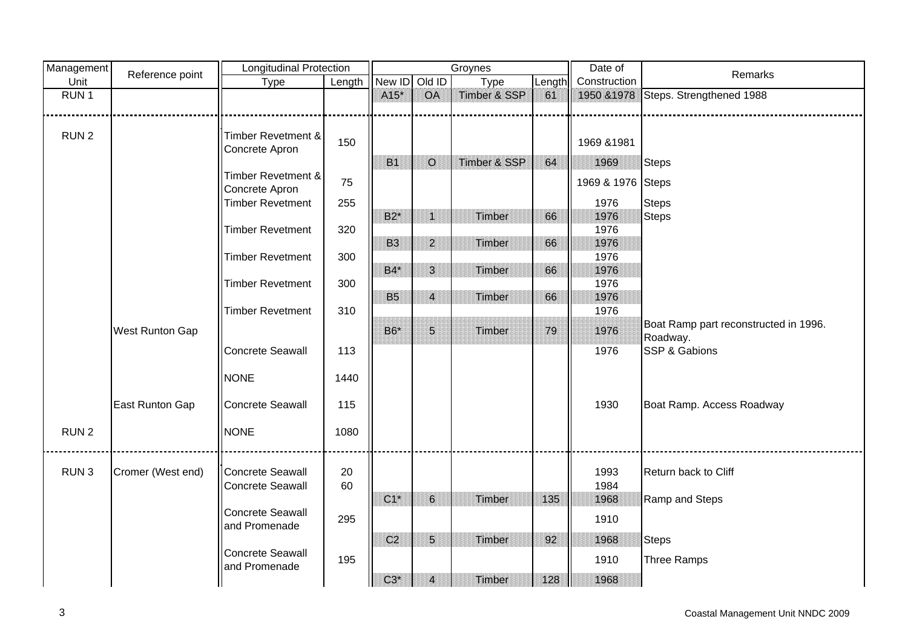| Management       | Reference point        | <b>Longitudinal Protection</b> |        |                |                         | Groynes      |        | Date of           | Remarks                               |
|------------------|------------------------|--------------------------------|--------|----------------|-------------------------|--------------|--------|-------------------|---------------------------------------|
| Unit             |                        | Type                           | Length | New ID Old ID  |                         | Type         | Length | Construction      |                                       |
| RUN <sub>1</sub> |                        |                                |        | $A15*$         | <b>OA</b>               | Timber & SSP | 61     | 1950 & 1978       | Steps. Strengthened 1988              |
|                  |                        |                                |        |                |                         |              |        |                   |                                       |
|                  |                        |                                |        |                |                         |              |        |                   |                                       |
| RUN <sub>2</sub> |                        | Timber Revetment &             | 150    |                |                         |              |        | 1969 & 1981       |                                       |
|                  |                        | Concrete Apron                 |        |                |                         |              |        |                   |                                       |
|                  |                        |                                |        | <b>B1</b>      | $\circ$                 | Timber & SSP | 64     | 1969              | <b>Steps</b>                          |
|                  |                        | Timber Revetment &             | 75     |                |                         |              |        | 1969 & 1976 Steps |                                       |
|                  |                        | Concrete Apron                 |        |                |                         |              |        |                   |                                       |
|                  |                        | <b>Timber Revetment</b>        | 255    |                |                         |              |        | 1976              | <b>Steps</b>                          |
|                  |                        |                                |        | $B2^*$         | $\mathbf{1}$            | Timber       | 66     | 1976              | <b>Steps</b>                          |
|                  |                        | <b>Timber Revetment</b>        | 320    | <b>B3</b>      | $\overline{2}$          |              |        | 1976              |                                       |
|                  |                        | <b>Timber Revetment</b>        | 300    |                |                         | Timber       | 66     | 1976<br>1976      |                                       |
|                  |                        |                                |        | $B4*$          | $\mathbf{3}$            | Timber       | 66     | 1976              |                                       |
|                  |                        | <b>Timber Revetment</b>        | 300    |                |                         |              |        | 1976              |                                       |
|                  |                        |                                |        | <b>B5</b>      | $\overline{4}$          | Timber       | 66     | 1976              |                                       |
|                  |                        | <b>Timber Revetment</b>        | 310    |                |                         |              |        | 1976              |                                       |
|                  |                        |                                |        |                |                         |              |        |                   | Boat Ramp part reconstructed in 1996. |
|                  | <b>West Runton Gap</b> |                                |        | B6*            | 5                       | Timber       | 79     | 1976              | Roadway.                              |
|                  |                        | <b>Concrete Seawall</b>        | 113    |                |                         |              |        | 1976              | SSP & Gabions                         |
|                  |                        |                                |        |                |                         |              |        |                   |                                       |
|                  |                        | <b>NONE</b>                    | 1440   |                |                         |              |        |                   |                                       |
|                  |                        |                                |        |                |                         |              |        |                   |                                       |
|                  | East Runton Gap        | Concrete Seawall               | 115    |                |                         |              |        | 1930              | Boat Ramp. Access Roadway             |
|                  |                        |                                |        |                |                         |              |        |                   |                                       |
| RUN <sub>2</sub> |                        | <b>NONE</b>                    | 1080   |                |                         |              |        |                   |                                       |
|                  |                        |                                |        |                |                         |              |        |                   |                                       |
|                  |                        |                                |        |                |                         |              |        |                   |                                       |
| RUN <sub>3</sub> | Cromer (West end)      | Concrete Seawall               | 20     |                |                         |              |        | 1993              | Return back to Cliff                  |
|                  |                        | <b>Concrete Seawall</b>        | 60     |                |                         |              |        | 1984              |                                       |
|                  |                        |                                |        | $C1^*$         | $\,$ 6 $\,$             | Timber       | 135    | 1968              | Ramp and Steps                        |
|                  |                        | <b>Concrete Seawall</b>        | 295    |                |                         |              |        | 1910              |                                       |
|                  |                        | and Promenade                  |        | C <sub>2</sub> | $5\phantom{.}$          | Timber       | 92     | 1968              | <b>Steps</b>                          |
|                  |                        | <b>Concrete Seawall</b>        |        |                |                         |              |        |                   |                                       |
|                  |                        | and Promenade                  | 195    |                |                         |              |        | 1910              | Three Ramps                           |
|                  |                        |                                |        | $C3*$          | $\overline{\mathbf{4}}$ | Timber       | 128    | 1968              |                                       |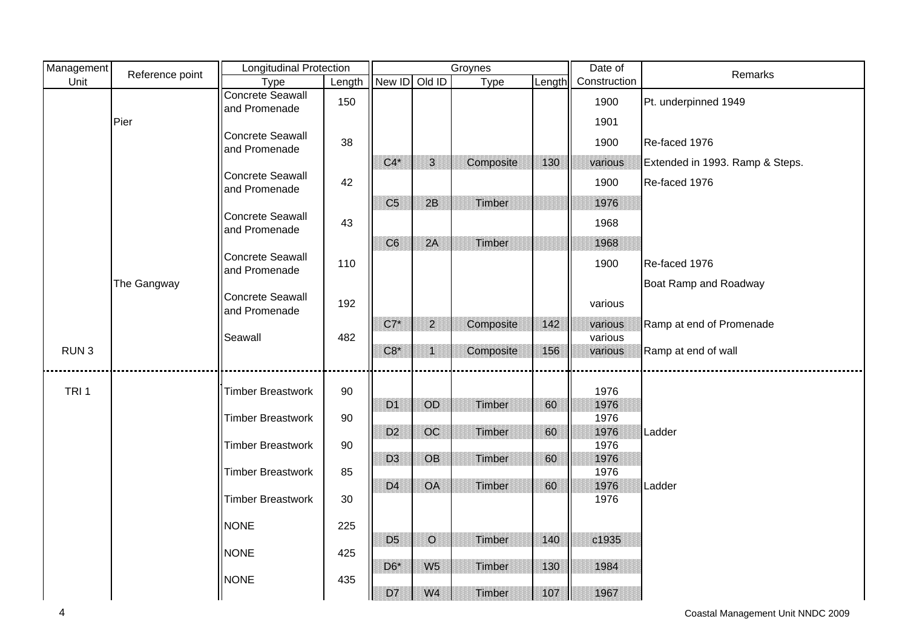| Management       | Reference point | Longitudinal Protection                  |        |                |                | Groynes   |        | Date of      | Remarks                         |
|------------------|-----------------|------------------------------------------|--------|----------------|----------------|-----------|--------|--------------|---------------------------------|
| Unit             |                 | Type                                     | Length | New ID Old ID  |                | Type      | Length | Construction |                                 |
|                  |                 | Concrete Seawall<br>and Promenade        | 150    |                |                |           |        | 1900         | Pt. underpinned 1949            |
|                  | Pier            |                                          |        |                |                |           |        | 1901         |                                 |
|                  |                 | <b>Concrete Seawall</b><br>and Promenade | 38     |                |                |           |        | 1900         | Re-faced 1976                   |
|                  |                 |                                          |        | $C4*$          | 3              | Composite | 130    | various      | Extended in 1993. Ramp & Steps. |
|                  |                 | <b>Concrete Seawall</b><br>and Promenade | 42     |                |                |           |        | 1900         | Re-faced 1976                   |
|                  |                 |                                          |        | C <sub>5</sub> | 2B             | Timber    |        | 1976         |                                 |
|                  |                 | <b>Concrete Seawall</b><br>and Promenade | 43     |                |                |           |        | 1968         |                                 |
|                  |                 |                                          |        | C <sub>6</sub> | 2A             | Timber    |        | 1968         |                                 |
|                  |                 | <b>Concrete Seawall</b><br>and Promenade | 110    |                |                |           |        | 1900         | Re-faced 1976                   |
|                  | The Gangway     |                                          |        |                |                |           |        |              | Boat Ramp and Roadway           |
|                  |                 | <b>Concrete Seawall</b><br>and Promenade | 192    |                |                |           |        | various      |                                 |
|                  |                 |                                          |        | $C7^*$         | $\overline{2}$ | Composite | 142    | various      | Ramp at end of Promenade        |
|                  |                 | Seawall                                  | 482    |                |                |           |        | various      |                                 |
| RUN <sub>3</sub> |                 |                                          |        | $C8*$          | $\mathbf{1}$   | Composite | 156    | various      | Ramp at end of wall             |
|                  |                 |                                          |        |                |                |           |        |              |                                 |
| TRI <sub>1</sub> |                 | <b>Timber Breastwork</b>                 | 90     |                |                |           |        | 1976         |                                 |
|                  |                 |                                          |        | D <sub>1</sub> | OD             | Timber    | 60     | 1976         |                                 |
|                  |                 | <b>Timber Breastwork</b>                 | 90     |                |                |           |        | 1976         |                                 |
|                  |                 | <b>Timber Breastwork</b>                 | 90     | D <sub>2</sub> | OC             | Timber    | 60     | 1976<br>1976 | Ladder                          |
|                  |                 |                                          |        | D <sub>3</sub> | <b>OB</b>      | Timber    | 60     | 1976         |                                 |
|                  |                 | <b>Timber Breastwork</b>                 | 85     |                |                |           |        | 1976         |                                 |
|                  |                 |                                          |        | D <sub>4</sub> | OA             | Timber    | 60     | 1976         | Ladder                          |
|                  |                 | <b>Timber Breastwork</b>                 | 30     |                |                |           |        | 1976         |                                 |
|                  |                 | <b>NONE</b>                              | 225    |                |                |           |        |              |                                 |
|                  |                 |                                          |        | D <sub>5</sub> | $\circ$        | Timber    | 140    | c1935        |                                 |
|                  |                 | <b>NONE</b>                              | 425    | $D6*$          | W <sub>5</sub> | Timber    | 130    | 1984         |                                 |
|                  |                 | <b>NONE</b>                              | 435    |                |                |           |        |              |                                 |
|                  |                 |                                          |        | D7             | W <sub>4</sub> | Timber    | 107    | 1967         |                                 |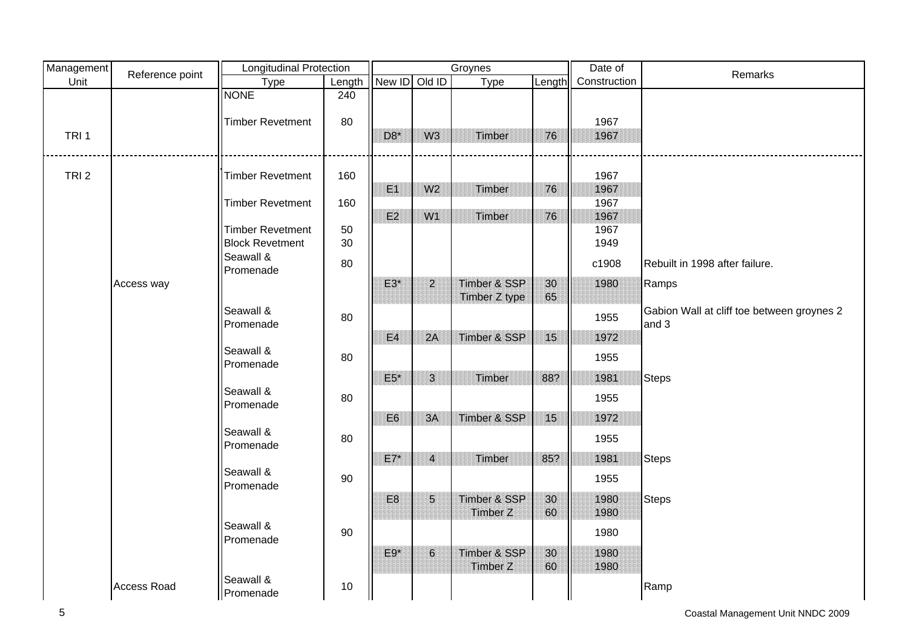| Management       | Reference point    | <b>Longitudinal Protection</b> |        |                |                | Groynes                 |        | Date of      | Remarks                                    |
|------------------|--------------------|--------------------------------|--------|----------------|----------------|-------------------------|--------|--------------|--------------------------------------------|
| Unit             |                    | Type                           | Length | New ID         | Old ID         | Type                    | Length | Construction |                                            |
|                  |                    | <b>NONE</b>                    | 240    |                |                |                         |        |              |                                            |
|                  |                    |                                |        |                |                |                         |        |              |                                            |
|                  |                    | <b>Timber Revetment</b>        | 80     |                |                |                         |        | 1967         |                                            |
| TRI <sub>1</sub> |                    |                                |        | $D8*$          | W <sub>3</sub> | Timber                  | 76     | 1967         |                                            |
|                  |                    |                                |        |                |                |                         |        |              |                                            |
| TRI <sub>2</sub> |                    | <b>Timber Revetment</b>        | 160    |                |                |                         |        | 1967         |                                            |
|                  |                    |                                |        | E1             | W <sub>2</sub> | Timber                  | 76     | 1967         |                                            |
|                  |                    | <b>Timber Revetment</b>        | 160    |                |                |                         |        | 1967         |                                            |
|                  |                    |                                |        | E2             | W1             | Timber                  | 76     | 1967         |                                            |
|                  |                    | <b>Timber Revetment</b>        | 50     |                |                |                         |        | 1967         |                                            |
|                  |                    | <b>Block Revetment</b>         | 30     |                |                |                         |        | 1949         |                                            |
|                  |                    | Seawall &<br>Promenade         | 80     |                |                |                         |        | c1908        | Rebuilt in 1998 after failure.             |
|                  | Access way         |                                |        | $E3*$          | $\overline{2}$ | Timber & SSP            | 30     | 1980         | Ramps                                      |
|                  |                    |                                |        |                |                | Timber Z type           | 65     |              |                                            |
|                  |                    | Seawall &                      | 80     |                |                |                         |        | 1955         | Gabion Wall at cliff toe between groynes 2 |
|                  |                    | Promenade                      |        |                |                |                         |        |              | and 3                                      |
|                  |                    |                                |        | E4             | 2A             | Timber & SSP            | 15     | 1972         |                                            |
|                  |                    | Seawall &<br>Promenade         | 80     |                |                |                         |        | 1955         |                                            |
|                  |                    |                                |        | $E5*$          | 3              | Timber                  | 88?    | 1981         | <b>Steps</b>                               |
|                  |                    | Seawall &                      |        |                |                |                         |        |              |                                            |
|                  |                    | Promenade                      | 80     |                |                |                         |        | 1955         |                                            |
|                  |                    |                                |        | E <sub>6</sub> | 3A             | Timber & SSP            | 15     | 1972         |                                            |
|                  |                    | Seawall &                      | 80     |                |                |                         |        | 1955         |                                            |
|                  |                    | Promenade                      |        |                |                |                         |        |              |                                            |
|                  |                    |                                |        | $E7*$          | $\overline{4}$ | Timber                  | 85?    | 1981         | <b>Steps</b>                               |
|                  |                    | Seawall &                      | 90     |                |                |                         |        | 1955         |                                            |
|                  |                    | Promenade                      |        |                |                |                         |        |              |                                            |
|                  |                    |                                |        | E <sub>8</sub> | 5 <sup>5</sup> | Timber & SSP            | 30     | 1980         | <b>Steps</b>                               |
|                  |                    | Seawall &                      |        |                |                | <b>Timber Z</b>         | 60     | 1980         |                                            |
|                  |                    | Promenade                      | $90\,$ |                |                |                         |        | 1980         |                                            |
|                  |                    |                                |        | $E9*$          | 6              | <b>Timber &amp; SSP</b> | 30     | 1980         |                                            |
|                  |                    |                                |        |                |                | Timber Z                | 60     | 1980         |                                            |
|                  |                    | Seawall &                      |        |                |                |                         |        |              |                                            |
|                  | <b>Access Road</b> | Promenade                      | 10     |                |                |                         |        |              | Ramp                                       |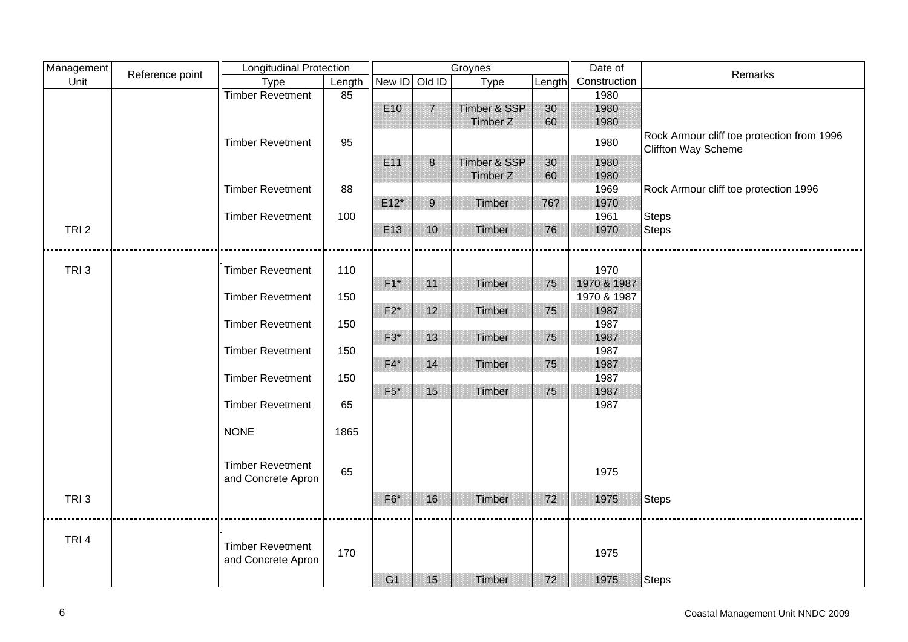| Management       |                 | <b>Longitudinal Protection</b> |        |                 |                | Groynes      |        | Date of      |                                                                          |
|------------------|-----------------|--------------------------------|--------|-----------------|----------------|--------------|--------|--------------|--------------------------------------------------------------------------|
| Unit             | Reference point | Type                           | Length | New ID Old ID   |                | Type         | Length | Construction | Remarks                                                                  |
|                  |                 | <b>Timber Revetment</b>        | 85     |                 |                |              |        | 1980         |                                                                          |
|                  |                 |                                |        | E <sub>10</sub> | $\overline{7}$ | Timber & SSP | 30     | 1980         |                                                                          |
|                  |                 |                                |        |                 |                | Timber Z     | 60     | 1980         |                                                                          |
|                  |                 | <b>Timber Revetment</b>        | 95     |                 |                |              |        | 1980         | Rock Armour cliff toe protection from 1996<br><b>Cliffton Way Scheme</b> |
|                  |                 |                                |        | E11             | 8              | Timber & SSP | 30     | 1980         |                                                                          |
|                  |                 |                                |        |                 |                | Timber Z     | 60     | 1980         |                                                                          |
|                  |                 | <b>Timber Revetment</b>        | 88     |                 |                |              |        | 1969         | Rock Armour cliff toe protection 1996                                    |
|                  |                 |                                |        | $E12*$          | 9              | Timber       | 76?    | 1970         |                                                                          |
|                  |                 | <b>Timber Revetment</b>        | 100    |                 |                |              |        | 1961         | <b>Steps</b>                                                             |
| TRI <sub>2</sub> |                 |                                |        | E13             | 10             | Timber       | 76     | 1970         | <b>Steps</b>                                                             |
|                  |                 |                                |        |                 |                |              |        |              |                                                                          |
|                  |                 |                                |        |                 |                |              |        |              |                                                                          |
| TRI <sub>3</sub> |                 | <b>Timber Revetment</b>        | 110    |                 |                |              |        | 1970         |                                                                          |
|                  |                 |                                |        | $F1*$           | 11             | Timber       | 75     | 1970 & 1987  |                                                                          |
|                  |                 | <b>Timber Revetment</b>        | 150    |                 |                |              |        | 1970 & 1987  |                                                                          |
|                  |                 |                                |        | $F2^*$          | 12             | Timber       | 75     | 1987         |                                                                          |
|                  |                 | <b>Timber Revetment</b>        | 150    |                 |                |              |        | 1987         |                                                                          |
|                  |                 |                                |        | $F3*$           | 13             | Timber       | 75     | 1987         |                                                                          |
|                  |                 | <b>Timber Revetment</b>        | 150    |                 |                |              |        | 1987         |                                                                          |
|                  |                 |                                |        | $F4*$           | 14             | Timber       | 75     | 1987         |                                                                          |
|                  |                 | <b>Timber Revetment</b>        | 150    |                 |                |              |        | 1987         |                                                                          |
|                  |                 |                                |        | $F5*$           | 15             | Timber       | 75     | 1987         |                                                                          |
|                  |                 | <b>Timber Revetment</b>        | 65     |                 |                |              |        | 1987         |                                                                          |
|                  |                 | <b>NONE</b>                    | 1865   |                 |                |              |        |              |                                                                          |
|                  |                 |                                |        |                 |                |              |        |              |                                                                          |
|                  |                 | <b>Timber Revetment</b>        | 65     |                 |                |              |        | 1975         |                                                                          |
|                  |                 | and Concrete Apron             |        |                 |                |              |        |              |                                                                          |
| TRI <sub>3</sub> |                 |                                |        | $F6*$           | 16             | Timber       | 72     | 1975         | Steps                                                                    |
|                  |                 |                                |        |                 |                |              |        |              |                                                                          |
|                  |                 |                                |        |                 |                |              |        |              |                                                                          |
| TRI <sub>4</sub> |                 |                                |        |                 |                |              |        |              |                                                                          |
|                  |                 | <b>Timber Revetment</b>        | 170    |                 |                |              |        | 1975         |                                                                          |
|                  |                 | and Concrete Apron             |        |                 |                |              |        |              |                                                                          |
|                  |                 |                                |        | G <sub>1</sub>  | 15             | Timber       | 72     | 1975         | Steps                                                                    |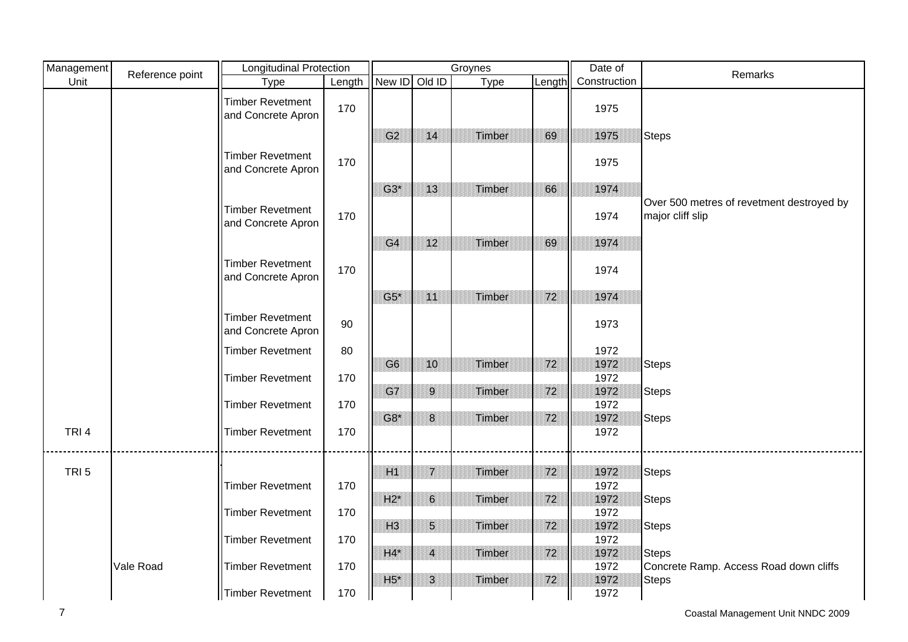| Management       | Reference point | <b>Longitudinal Protection</b>                |        |                |                | Groynes |        | Date of      | Remarks                                                       |
|------------------|-----------------|-----------------------------------------------|--------|----------------|----------------|---------|--------|--------------|---------------------------------------------------------------|
| Unit             |                 | Type                                          | Length | New ID Old ID  |                | Type    | Length | Construction |                                                               |
|                  |                 | <b>Timber Revetment</b><br>and Concrete Apron | 170    |                |                |         |        | 1975         |                                                               |
|                  |                 |                                               |        | G <sub>2</sub> | 14             | Timber  | 69     | 1975         | <b>Steps</b>                                                  |
|                  |                 | <b>Timber Revetment</b><br>and Concrete Apron | 170    |                |                |         |        | 1975         |                                                               |
|                  |                 |                                               |        | $G3*$          | 13             | Timber  | 66     | 1974         |                                                               |
|                  |                 | <b>Timber Revetment</b><br>and Concrete Apron | 170    |                |                |         |        | 1974         | Over 500 metres of revetment destroyed by<br>major cliff slip |
|                  |                 |                                               |        | G <sub>4</sub> | 12             | Timber  | 69     | 1974         |                                                               |
|                  |                 | <b>Timber Revetment</b><br>and Concrete Apron | 170    |                |                |         |        | 1974         |                                                               |
|                  |                 |                                               |        | $G5^*$         | 11             | Timber  | 72     | 1974         |                                                               |
|                  |                 | <b>Timber Revetment</b><br>and Concrete Apron | 90     |                |                |         |        | 1973         |                                                               |
|                  |                 | <b>Timber Revetment</b>                       | 80     |                |                |         |        | 1972         |                                                               |
|                  |                 |                                               |        | G <sub>6</sub> | 10             | Timber  | 72     | 1972         | <b>Steps</b>                                                  |
|                  |                 | <b>Timber Revetment</b>                       | 170    |                |                |         |        | 1972         |                                                               |
|                  |                 |                                               |        | G7             | 9              | Timber  | 72     | 1972         | <b>Steps</b>                                                  |
|                  |                 | <b>Timber Revetment</b>                       | 170    | $G8*$          | 8              | Timber  | 72     | 1972<br>1972 | <b>Steps</b>                                                  |
| TRI <sub>4</sub> |                 | <b>Timber Revetment</b>                       | 170    |                |                |         |        | 1972         |                                                               |
|                  |                 |                                               |        |                |                |         |        |              |                                                               |
|                  |                 |                                               |        |                |                |         |        |              |                                                               |
| TRI <sub>5</sub> |                 |                                               |        | H1             | $\overline{7}$ | Timber  | 72     | 1972         | <b>Steps</b>                                                  |
|                  |                 | <b>Timber Revetment</b>                       | 170    | $H2^*$         | $6\phantom{.}$ | Timber  | 72     | 1972<br>1972 | <b>Steps</b>                                                  |
|                  |                 | <b>Timber Revetment</b>                       | 170    |                |                |         |        | 1972         |                                                               |
|                  |                 |                                               |        | H3             | $5\phantom{.}$ | Timber  | 72     | 1972         | <b>Steps</b>                                                  |
|                  |                 | <b>Timber Revetment</b>                       | 170    |                |                |         |        | 1972         |                                                               |
|                  |                 |                                               |        | $H4^*$         | $\overline{4}$ | Timber  | 72     | 1972         | <b>Steps</b>                                                  |
|                  | Vale Road       | <b>Timber Revetment</b>                       | 170    |                |                |         |        | 1972         | Concrete Ramp. Access Road down cliffs                        |
|                  |                 | Timber Revetment                              | 170    | $H5*$          | $\overline{3}$ | Timber  | 72     | 1972<br>1972 | <b>Steps</b>                                                  |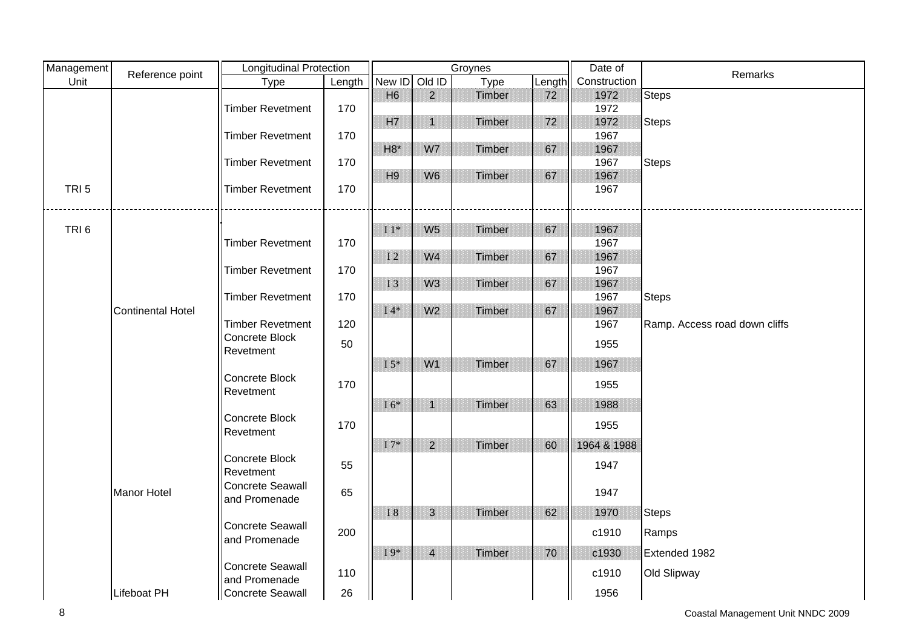| Management       | Reference point          | <b>Longitudinal Protection</b> |        |                |                 | Groynes |        | Date of      | Remarks                       |
|------------------|--------------------------|--------------------------------|--------|----------------|-----------------|---------|--------|--------------|-------------------------------|
| Unit             |                          | Type                           | Length | New ID         | Old ID          | Type    | Length | Construction |                               |
|                  |                          |                                |        | H <sub>6</sub> | 2 <sup>1</sup>  | Timber  | 72     | 1972         | <b>Steps</b>                  |
|                  |                          | <b>Timber Revetment</b>        | 170    |                |                 |         |        | 1972         |                               |
|                  |                          |                                |        | <b>H7</b>      | $\mathbf{1}$    | Timber  | 72     | 1972         | <b>Steps</b>                  |
|                  |                          | <b>Timber Revetment</b>        | 170    |                |                 |         |        | 1967         |                               |
|                  |                          | <b>Timber Revetment</b>        | 170    | $H8*$          | W7              | Timber  | 67     | 1967<br>1967 |                               |
|                  |                          |                                |        | H <sub>9</sub> | W <sub>6</sub>  | Timber  | 67     | 1967         | <b>Steps</b>                  |
| TRI <sub>5</sub> |                          | <b>Timber Revetment</b>        | 170    |                |                 |         |        | 1967         |                               |
|                  |                          |                                |        |                |                 |         |        |              |                               |
|                  |                          |                                |        |                |                 |         |        |              |                               |
| TRI <sub>6</sub> |                          |                                |        | $11*$          | W <sub>5</sub>  | Timber  | 67     | 1967         |                               |
|                  |                          | <b>Timber Revetment</b>        | 170    |                |                 |         |        | 1967         |                               |
|                  |                          |                                |        | <b>I2</b>      | W <sub>4</sub>  | Timber  | 67     | 1967         |                               |
|                  |                          | <b>Timber Revetment</b>        | 170    |                |                 |         |        | 1967         |                               |
|                  |                          |                                |        | <b>I3</b>      | W <sub>3</sub>  | Timber  | 67     | 1967         |                               |
|                  |                          | <b>Timber Revetment</b>        | 170    | $I4*$          | W <sub>2</sub>  |         | 67     | 1967<br>1967 | <b>Steps</b>                  |
|                  | <b>Continental Hotel</b> | <b>Timber Revetment</b>        | 120    |                |                 | Timber  |        | 1967         | Ramp. Access road down cliffs |
|                  |                          | Concrete Block                 |        |                |                 |         |        |              |                               |
|                  |                          | Revetment                      | 50     |                |                 |         |        | 1955         |                               |
|                  |                          |                                |        | $I\,5^*$       | W1              | Timber  | 67     | 1967         |                               |
|                  |                          | Concrete Block                 | 170    |                |                 |         |        |              |                               |
|                  |                          | Revetment                      |        |                |                 |         |        | 1955         |                               |
|                  |                          |                                |        | $16*$          | $\blacklozenge$ | Timber  | 63     | 1988         |                               |
|                  |                          | Concrete Block                 | 170    |                |                 |         |        | 1955         |                               |
|                  |                          | Revetment                      |        |                |                 |         |        |              |                               |
|                  |                          |                                |        | $17*$          | 2 <sup>1</sup>  | Timber  | 60     | 1964 & 1988  |                               |
|                  |                          | Concrete Block<br>Revetment    | 55     |                |                 |         |        | 1947         |                               |
|                  |                          | <b>Concrete Seawall</b>        |        |                |                 |         |        |              |                               |
|                  | <b>Manor Hotel</b>       | and Promenade                  | 65     |                |                 |         |        | 1947         |                               |
|                  |                          |                                |        | $\rm I~8$      | 3               | Timber  | 62     | 1970         | <b>Steps</b>                  |
|                  |                          | <b>Concrete Seawall</b>        |        |                |                 |         |        |              |                               |
|                  |                          | and Promenade                  | 200    |                |                 |         |        | c1910        | Ramps                         |
|                  |                          |                                |        | $I9*$          | $\overline{4}$  | Timber  | 70     | c1930        | Extended 1982                 |
|                  |                          | Concrete Seawall               | 110    |                |                 |         |        | c1910        | Old Slipway                   |
|                  |                          | and Promenade                  |        |                |                 |         |        |              |                               |
|                  | <b>Lifeboat PH</b>       | Concrete Seawall               | 26     |                |                 |         |        | 1956         |                               |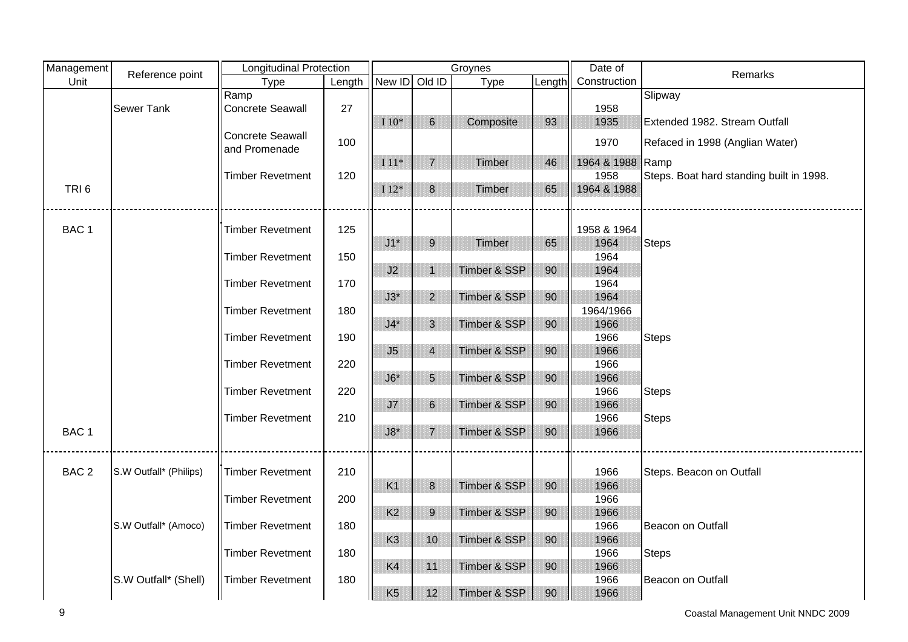| Management       | Reference point        | <b>Longitudinal Protection</b> |        |                |                 | Groynes                 |        | Date of          | <b>Remarks</b>                           |
|------------------|------------------------|--------------------------------|--------|----------------|-----------------|-------------------------|--------|------------------|------------------------------------------|
| Unit             |                        | <b>Type</b>                    | Length | New ID Old ID  |                 | <b>Type</b>             | Length | Construction     |                                          |
|                  |                        | Ramp                           |        |                |                 |                         |        |                  | Slipway                                  |
|                  | Sewer Tank             | <b>Concrete Seawall</b>        | 27     |                |                 |                         |        | 1958             |                                          |
|                  |                        |                                |        | I $10^*$       | $6\phantom{.}$  | Composite               | 93     | 1935             | Extended 1982. Stream Outfall            |
|                  |                        | <b>Concrete Seawall</b>        | 100    |                |                 |                         |        | 1970             | Refaced in 1998 (Anglian Water)          |
|                  |                        | and Promenade                  |        |                |                 |                         |        |                  |                                          |
|                  |                        |                                |        | $I$ 11*        | $\overline{7}$  | Timber                  | 46     | 1964 & 1988 Ramp |                                          |
|                  |                        | <b>Timber Revetment</b>        | 120    |                |                 |                         |        | 1958             | Steps. Boat hard standing built in 1998. |
| TRI <sub>6</sub> |                        |                                |        | I $12*$        | $\bf 8$         | Timber                  | 65     | 1964 & 1988      |                                          |
|                  |                        |                                |        |                |                 |                         |        |                  |                                          |
|                  |                        |                                |        |                |                 |                         |        |                  |                                          |
| BAC <sub>1</sub> |                        | <b>Timber Revetment</b>        | 125    |                |                 |                         |        | 1958 & 1964      |                                          |
|                  |                        |                                |        | $J1^*$         | $9\,$           | Timber                  | 65     | 1964             | <b>Steps</b>                             |
|                  |                        | <b>Timber Revetment</b>        | 150    |                |                 |                         |        | 1964             |                                          |
|                  |                        |                                |        | J2             | $\mathbf 1$     | Timber & SSP            | 90     | 1964             |                                          |
|                  |                        | <b>Timber Revetment</b>        | 170    |                |                 |                         |        | 1964             |                                          |
|                  |                        |                                |        | $J3^*$         | $\overline{2}$  | Timber & SSP            | 90     | 1964             |                                          |
|                  |                        | <b>Timber Revetment</b>        | 180    |                |                 |                         |        | 1964/1966        |                                          |
|                  |                        |                                |        | $J4*$          | 3               | Timber & SSP            | 90     | 1966             |                                          |
|                  |                        | <b>Timber Revetment</b>        | 190    |                |                 |                         |        | 1966             | <b>Steps</b>                             |
|                  |                        |                                |        | J5             | $\overline{4}$  | Timber & SSP            | 90     | 1966             |                                          |
|                  |                        | <b>Timber Revetment</b>        | 220    |                |                 |                         |        | 1966             |                                          |
|                  |                        |                                |        | $J6*$          | $5\phantom{.0}$ | Timber & SSP            | 90     | 1966             |                                          |
|                  |                        | <b>Timber Revetment</b>        | 220    |                |                 |                         |        | 1966             | <b>Steps</b>                             |
|                  |                        |                                |        | J7             | 6               | Timber & SSP            | 90     | 1966             |                                          |
|                  |                        | <b>Timber Revetment</b>        | 210    |                |                 |                         |        | 1966             | <b>Steps</b>                             |
| BAC <sub>1</sub> |                        |                                |        | $J8*$          | $\overline{7}$  | <b>Timber &amp; SSP</b> | 90     | 1966             |                                          |
|                  |                        |                                |        |                |                 |                         |        |                  |                                          |
| BAC <sub>2</sub> | S.W Outfall* (Philips) | <b>Timber Revetment</b>        | 210    |                |                 |                         |        | 1966             | Steps. Beacon on Outfall                 |
|                  |                        |                                |        | K1             | 8               | Timber & SSP            | 90     | 1966             |                                          |
|                  |                        | <b>Timber Revetment</b>        | 200    |                |                 |                         |        | 1966             |                                          |
|                  |                        |                                |        | K <sub>2</sub> | 9               | Timber & SSP            | 90     | 1966             |                                          |
|                  | S.W Outfall* (Amoco)   |                                |        |                |                 |                         |        |                  |                                          |
|                  |                        | <b>Timber Revetment</b>        | 180    |                | 10              |                         |        | 1966<br>1966     | Beacon on Outfall                        |
|                  |                        |                                | 180    | K <sub>3</sub> |                 | <b>Timber &amp; SSP</b> | 90     |                  |                                          |
|                  |                        | <b>Timber Revetment</b>        |        |                | 11              |                         |        | 1966             | <b>Steps</b>                             |
|                  |                        | <b>Timber Revetment</b>        | 180    | K4             |                 | <b>Timber &amp; SSP</b> | 90     | 1966             | Beacon on Outfall                        |
|                  | S.W Outfall* (Shell)   |                                |        |                |                 |                         |        | 1966<br>1966     |                                          |
|                  |                        |                                |        | K <sub>5</sub> | 12              | Timber & SSP            | 90     |                  |                                          |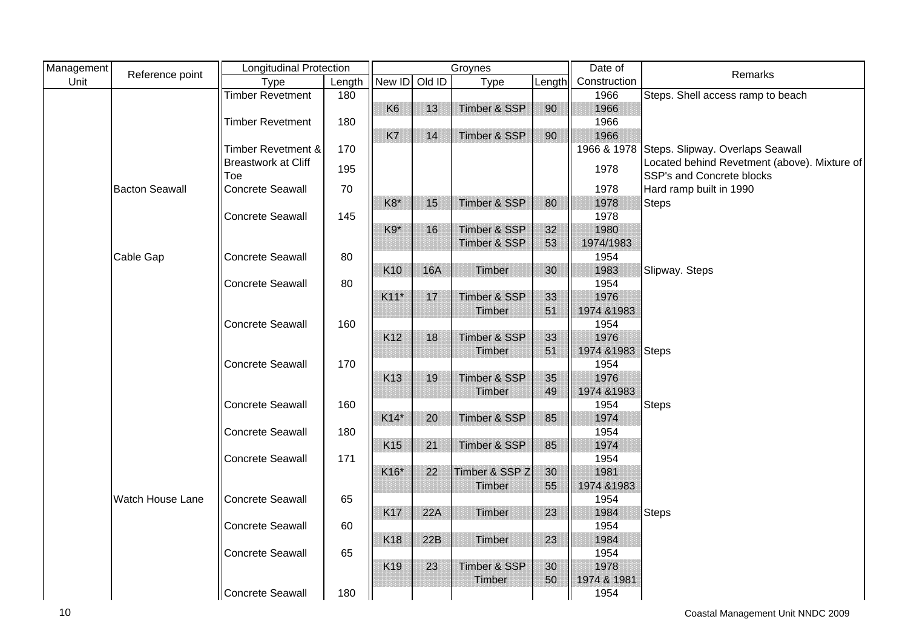| Management | Reference point       | <b>Longitudinal Protection</b>    |        |                 | Groynes    |                         |        | Date of      | Remarks                                                                   |
|------------|-----------------------|-----------------------------------|--------|-----------------|------------|-------------------------|--------|--------------|---------------------------------------------------------------------------|
| Unit       |                       | Type                              | Length | New ID          | Old ID     | <b>Type</b>             | Length | Construction |                                                                           |
|            |                       | <b>Timber Revetment</b>           | 180    |                 |            |                         |        | 1966         | Steps. Shell access ramp to beach                                         |
|            |                       |                                   |        | K <sub>6</sub>  | 13         | Timber & SSP            | 90     | 1966         |                                                                           |
|            |                       | <b>Timber Revetment</b>           | 180    |                 |            |                         |        | 1966         |                                                                           |
|            |                       |                                   |        | K7              | 14         | Timber & SSP            | 90     | 1966         |                                                                           |
|            |                       | <b>Timber Revetment &amp;</b>     | 170    |                 |            |                         |        | 1966 & 1978  | Steps. Slipway. Overlaps Seawall                                          |
|            |                       | <b>Breastwork at Cliff</b><br>Toe | 195    |                 |            |                         |        | 1978         | Located behind Revetment (above). Mixture of<br>SSP's and Concrete blocks |
|            | <b>Bacton Seawall</b> | <b>Concrete Seawall</b>           | 70     |                 |            |                         |        | 1978         | Hard ramp built in 1990                                                   |
|            |                       |                                   |        | K8*             | 15         | Timber & SSP            | 80     | 1978         | Steps                                                                     |
|            |                       | Concrete Seawall                  | 145    |                 |            |                         |        | 1978         |                                                                           |
|            |                       |                                   |        | K9*             | 16         | Timber & SSP            | 32     | 1980         |                                                                           |
|            |                       |                                   |        |                 |            | Timber & SSP            | 53     | 1974/1983    |                                                                           |
|            | Cable Gap             | <b>Concrete Seawall</b>           | 80     |                 |            |                         |        | 1954         |                                                                           |
|            |                       |                                   |        | K <sub>10</sub> | <b>16A</b> | Timber                  | 30     | 1983         | Slipway. Steps                                                            |
|            |                       | Concrete Seawall                  | 80     |                 |            |                         |        | 1954         |                                                                           |
|            |                       |                                   |        | $K11*$          | 17         | Timber & SSP            | 33     | 1976         |                                                                           |
|            |                       |                                   |        |                 |            | Timber                  | 51     | 1974 & 1983  |                                                                           |
|            |                       | <b>Concrete Seawall</b>           | 160    |                 |            |                         |        | 1954         |                                                                           |
|            |                       |                                   |        | K12             | 18         | Timber & SSP            | 33     | 1976         |                                                                           |
|            |                       |                                   |        |                 |            | Timber                  | 51     | 1974 & 1983  | <b>Steps</b>                                                              |
|            |                       | <b>Concrete Seawall</b>           | 170    |                 |            |                         |        | 1954         |                                                                           |
|            |                       |                                   |        | K <sub>13</sub> | 19         | Timber & SSP            | 35     | 1976         |                                                                           |
|            |                       |                                   |        |                 |            | Timber                  | 49     | 1974 & 1983  |                                                                           |
|            |                       | <b>Concrete Seawall</b>           | 160    |                 |            |                         |        | 1954         | <b>Steps</b>                                                              |
|            |                       |                                   |        | $K14*$          | 20         | Timber & SSP            | 85     | 1974         |                                                                           |
|            |                       | <b>Concrete Seawall</b>           | 180    |                 |            |                         |        | 1954         |                                                                           |
|            |                       |                                   |        | K <sub>15</sub> | 21         | Timber & SSP            | 85     | 1974         |                                                                           |
|            |                       | Concrete Seawall                  | 171    |                 |            |                         |        | 1954         |                                                                           |
|            |                       |                                   |        | K16*            | 22         | Timber & SSP Z          | 30     | 1981         |                                                                           |
|            |                       |                                   |        |                 |            | Timber                  | 55     | 1974 & 1983  |                                                                           |
|            | Watch House Lane      | Concrete Seawall                  | 65     |                 |            |                         |        | 1954         |                                                                           |
|            |                       |                                   |        | <b>K17</b>      | 22A        | Timber                  | 23     | 1984         | <b>Steps</b>                                                              |
|            |                       | <b>Concrete Seawall</b>           | 60     |                 |            |                         |        | 1954         |                                                                           |
|            |                       |                                   |        | K18             | 22B        | Timber                  | 23     | 1984         |                                                                           |
|            |                       | Concrete Seawall                  | 65     |                 |            |                         |        | 1954         |                                                                           |
|            |                       |                                   |        | K <sub>19</sub> | 23         | <b>Timber &amp; SSP</b> | 30     | 1978         |                                                                           |
|            |                       |                                   |        |                 |            | Timber                  | 50     | 1974 & 1981  |                                                                           |
|            |                       | Concrete Seawall                  | 180    |                 |            |                         |        | 1954         |                                                                           |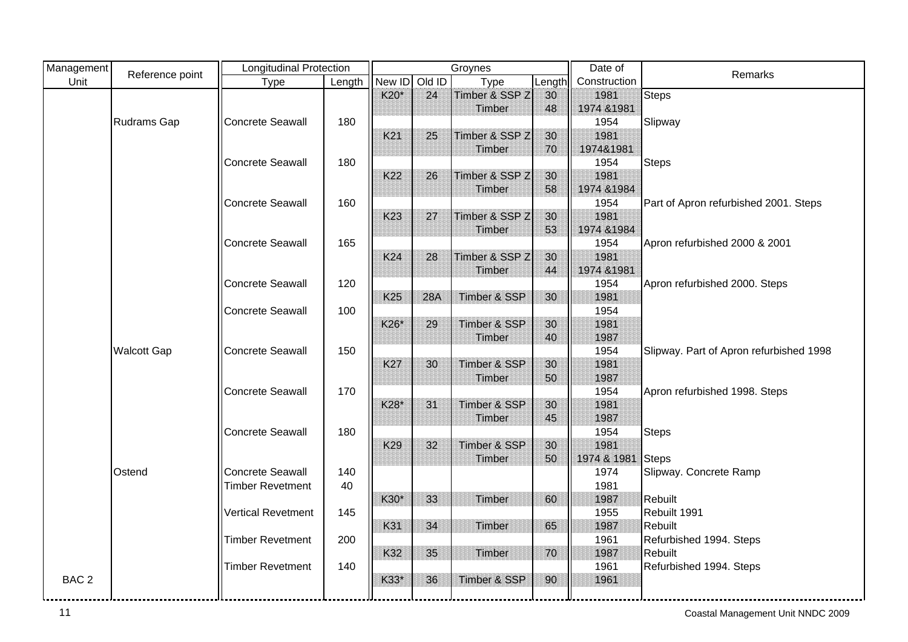| Management       | Reference point    | <b>Longitudinal Protection</b> |        |                 |            | Groynes                 |        | Date of      | Remarks                                 |
|------------------|--------------------|--------------------------------|--------|-----------------|------------|-------------------------|--------|--------------|-----------------------------------------|
| Unit             |                    | Type                           | Length | New ID Old ID   |            | <b>Type</b>             | Length | Construction |                                         |
|                  |                    |                                |        | K20*            | 24         | Timber & SSP Z          | 30     | 1981         | <b>Steps</b>                            |
|                  |                    |                                |        |                 |            | Timber                  | 48     | 1974 & 1981  |                                         |
|                  | <b>Rudrams Gap</b> | <b>Concrete Seawall</b>        | 180    |                 |            |                         |        | 1954         | Slipway                                 |
|                  |                    |                                |        | K21             | 25         | Timber & SSP Z          | 30     | 1981         |                                         |
|                  |                    |                                |        |                 |            | Timber                  | 70     | 1974&1981    |                                         |
|                  |                    | <b>Concrete Seawall</b>        | 180    |                 |            |                         |        | 1954         | <b>Steps</b>                            |
|                  |                    |                                |        | K22             | 26         | Timber & SSP Z          | 30     | 1981         |                                         |
|                  |                    |                                |        |                 |            | Timber                  | 58     | 1974 & 1984  |                                         |
|                  |                    | <b>Concrete Seawall</b>        | 160    |                 |            |                         |        | 1954         | Part of Apron refurbished 2001. Steps   |
|                  |                    |                                |        | K <sub>23</sub> | 27         | Timber & SSP Z          | 30     | 1981         |                                         |
|                  |                    |                                |        |                 |            | Timber                  | 53     | 1974 & 1984  |                                         |
|                  |                    | <b>Concrete Seawall</b>        | 165    |                 |            |                         |        | 1954         | Apron refurbished 2000 & 2001           |
|                  |                    |                                |        | K24             | 28         | Timber & SSP Z          | 30     | 1981         |                                         |
|                  |                    |                                |        |                 |            | Timber                  | 44     | 1974 & 1981  |                                         |
|                  |                    | <b>Concrete Seawall</b>        | 120    |                 |            |                         |        | 1954         | Apron refurbished 2000. Steps           |
|                  |                    |                                |        | K <sub>25</sub> | <b>28A</b> | <b>Timber &amp; SSP</b> | 30     | 1981         |                                         |
|                  |                    | <b>Concrete Seawall</b>        | 100    |                 |            |                         |        | 1954         |                                         |
|                  |                    |                                |        | K26*            | 29         | Timber & SSP            | 30     | 1981         |                                         |
|                  |                    |                                |        |                 |            | Timber                  | 40     | 1987         |                                         |
|                  | <b>Walcott Gap</b> | <b>Concrete Seawall</b>        | 150    |                 |            |                         |        | 1954         | Slipway. Part of Apron refurbished 1998 |
|                  |                    |                                |        | <b>K27</b>      | 30         | Timber & SSP            | 30     | 1981         |                                         |
|                  |                    |                                |        |                 |            | Timber                  | 50     | 1987         |                                         |
|                  |                    | <b>Concrete Seawall</b>        | 170    |                 |            |                         |        | 1954         | Apron refurbished 1998. Steps           |
|                  |                    |                                |        | K28*            | 31         | <b>Timber &amp; SSP</b> | 30     | 1981         |                                         |
|                  |                    |                                |        |                 |            | Timber                  | 45     | 1987         |                                         |
|                  |                    | <b>Concrete Seawall</b>        | 180    |                 |            |                         |        | 1954         | <b>Steps</b>                            |
|                  |                    |                                |        | K <sub>29</sub> | 32         | <b>Timber &amp; SSP</b> | 30     | 1981         |                                         |
|                  |                    |                                |        |                 |            | Timber                  | 50     | 1974 & 1981  | Steps                                   |
|                  | Ostend             | <b>Concrete Seawall</b>        | 140    |                 |            |                         |        | 1974         | Slipway. Concrete Ramp                  |
|                  |                    | <b>Timber Revetment</b>        | 40     |                 |            |                         |        | 1981         |                                         |
|                  |                    |                                |        | K30*            | 33         | Timber                  | 60     | 1987         | <b>Rebuilt</b>                          |
|                  |                    | <b>Vertical Revetment</b>      | 145    |                 |            |                         |        | 1955         | Rebuilt 1991                            |
|                  |                    |                                |        | K31             | 34         | Timber                  | 65     | 1987         | Rebuilt                                 |
|                  |                    | <b>Timber Revetment</b>        | 200    |                 |            |                         |        | 1961         | Refurbished 1994. Steps                 |
|                  |                    |                                |        | K32             | 35         | Timber                  | 70     | 1987         | Rebuilt                                 |
|                  |                    | <b>Timber Revetment</b>        | 140    |                 |            |                         |        | 1961         | Refurbished 1994. Steps                 |
| BAC <sub>2</sub> |                    |                                |        | K33*            | 36         | Timber & SSP            | 90     | 1961         |                                         |
|                  |                    |                                |        |                 |            |                         |        |              |                                         |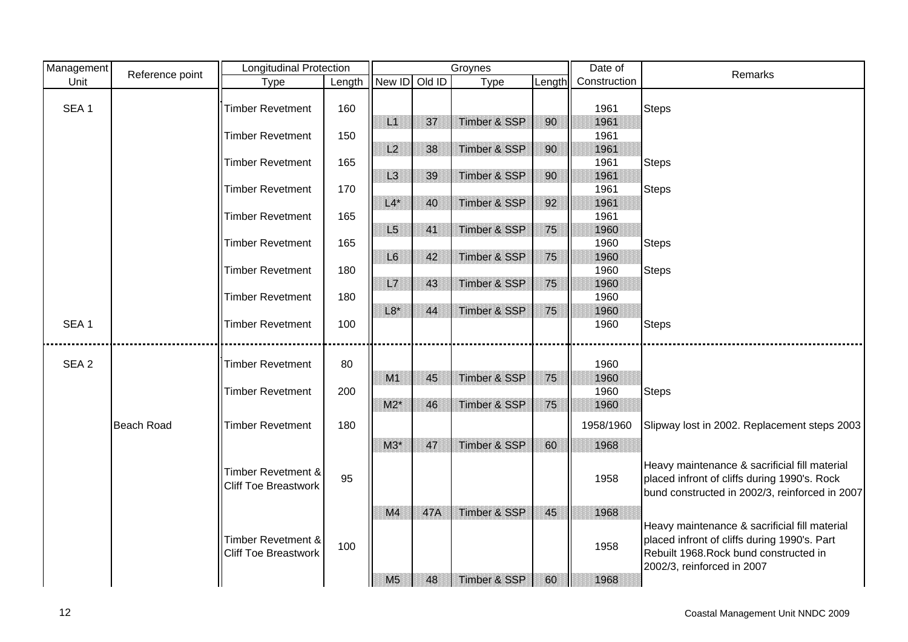| Management       | Reference point   | <b>Longitudinal Protection</b>                               |        |                |     | Groynes                 |        | Date of      | Remarks                                                                                                                                                               |
|------------------|-------------------|--------------------------------------------------------------|--------|----------------|-----|-------------------------|--------|--------------|-----------------------------------------------------------------------------------------------------------------------------------------------------------------------|
| Unit             |                   | <b>Type</b>                                                  | Length | New ID Old ID  |     | Type                    | Length | Construction |                                                                                                                                                                       |
|                  |                   |                                                              |        |                |     |                         |        |              |                                                                                                                                                                       |
| SEA <sub>1</sub> |                   | <b>Timber Revetment</b>                                      | 160    |                |     |                         |        | 1961         | <b>Steps</b>                                                                                                                                                          |
|                  |                   |                                                              |        | L1             | 37  | Timber & SSP            | 90     | 1961         |                                                                                                                                                                       |
|                  |                   | Timber Revetment                                             | 150    |                |     |                         |        | 1961         |                                                                                                                                                                       |
|                  |                   |                                                              |        | L2             | 38  | Timber & SSP            | 90     | 1961         |                                                                                                                                                                       |
|                  |                   | <b>Timber Revetment</b>                                      | 165    |                |     |                         |        | 1961         | Steps                                                                                                                                                                 |
|                  |                   |                                                              |        | L <sub>3</sub> | 39  | <b>Timber &amp; SSP</b> | 90     | 1961         |                                                                                                                                                                       |
|                  |                   | <b>Timber Revetment</b>                                      | 170    |                |     |                         |        | 1961         | <b>Steps</b>                                                                                                                                                          |
|                  |                   |                                                              |        | $L4*$          | 40  | <b>Timber &amp; SSP</b> | 92     | 1961         |                                                                                                                                                                       |
|                  |                   | <b>Timber Revetment</b>                                      | 165    |                |     |                         |        | 1961         |                                                                                                                                                                       |
|                  |                   |                                                              |        | L5             | 41  | <b>Timber &amp; SSP</b> | 75     | 1960         |                                                                                                                                                                       |
|                  |                   | Timber Revetment                                             | 165    |                |     |                         |        | 1960         | <b>Steps</b>                                                                                                                                                          |
|                  |                   |                                                              |        | L <sub>6</sub> | 42  | Timber & SSP            | 75     | 1960         |                                                                                                                                                                       |
|                  |                   | <b>Timber Revetment</b>                                      | 180    |                |     |                         |        | 1960         | <b>Steps</b>                                                                                                                                                          |
|                  |                   |                                                              |        | L7             | 43  | Timber & SSP            | 75     | 1960         |                                                                                                                                                                       |
|                  |                   | <b>Timber Revetment</b>                                      | 180    |                |     |                         |        | 1960         |                                                                                                                                                                       |
|                  |                   |                                                              |        | $L8*$          | 44  | Timber & SSP            | 75     | 1960         |                                                                                                                                                                       |
| SEA <sub>1</sub> |                   | <b>Timber Revetment</b>                                      | 100    |                |     |                         |        | 1960         | <b>Steps</b>                                                                                                                                                          |
|                  |                   |                                                              |        |                |     |                         |        |              |                                                                                                                                                                       |
|                  |                   |                                                              |        |                |     |                         |        |              |                                                                                                                                                                       |
| SEA <sub>2</sub> |                   | <b>Timber Revetment</b>                                      | 80     |                |     |                         |        | 1960         |                                                                                                                                                                       |
|                  |                   |                                                              |        | M1             | 45  | Timber & SSP            | 75     | 1960         |                                                                                                                                                                       |
|                  |                   | <b>Timber Revetment</b>                                      | 200    |                |     |                         |        | 1960         | <b>Steps</b>                                                                                                                                                          |
|                  |                   |                                                              |        | $M2*$          | 46  | <b>Timber &amp; SSP</b> | 75     | 1960         |                                                                                                                                                                       |
|                  | <b>Beach Road</b> | <b>Timber Revetment</b>                                      | 180    |                |     |                         |        | 1958/1960    | Slipway lost in 2002. Replacement steps 2003                                                                                                                          |
|                  |                   |                                                              |        | $M3*$          | 47  | Timber & SSP            | 60     | 1968         |                                                                                                                                                                       |
|                  |                   | Timber Revetment &<br><b>Cliff Toe Breastwork</b>            | 95     |                |     |                         |        | 1958         | Heavy maintenance & sacrificial fill material<br>placed infront of cliffs during 1990's. Rock<br>bund constructed in 2002/3, reinforced in 2007                       |
|                  |                   |                                                              |        | M4             | 47A | Timber & SSP            | 45     | 1968         |                                                                                                                                                                       |
|                  |                   | <b>Timber Revetment &amp;</b><br><b>Cliff Toe Breastwork</b> | 100    |                |     |                         |        | 1958         | Heavy maintenance & sacrificial fill material<br>placed infront of cliffs during 1990's. Part<br>Rebuilt 1968. Rock bund constructed in<br>2002/3, reinforced in 2007 |
|                  |                   |                                                              |        | M <sub>5</sub> | 48  | Timber & SSP            | 60     | 1968         |                                                                                                                                                                       |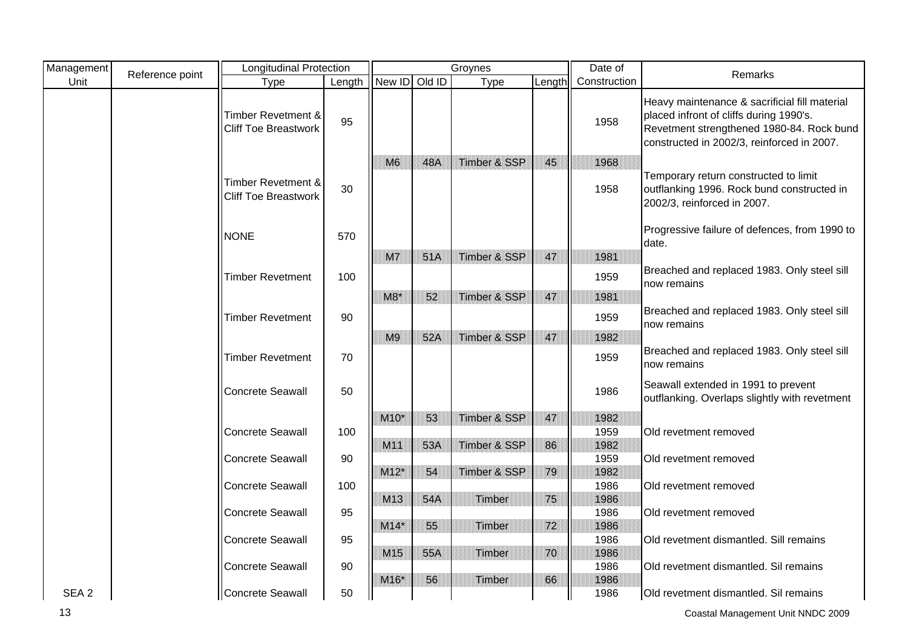| Management       | Reference point | <b>Longitudinal Protection</b>                               |        | Groynes        |     |              |        | Date of      | Remarks                                                                                                                                                                             |
|------------------|-----------------|--------------------------------------------------------------|--------|----------------|-----|--------------|--------|--------------|-------------------------------------------------------------------------------------------------------------------------------------------------------------------------------------|
| Unit             |                 | Type                                                         | Length | New ID Old ID  |     | <b>Type</b>  | Length | Construction |                                                                                                                                                                                     |
|                  |                 | <b>Timber Revetment &amp;</b><br><b>Cliff Toe Breastwork</b> | 95     |                |     |              |        | 1958         | Heavy maintenance & sacrificial fill material<br>placed infront of cliffs during 1990's.<br>Revetment strengthened 1980-84. Rock bund<br>constructed in 2002/3, reinforced in 2007. |
|                  |                 |                                                              |        | M6             | 48A | Timber & SSP | 45     | 1968         |                                                                                                                                                                                     |
|                  |                 | Timber Revetment &<br><b>Cliff Toe Breastwork</b>            | 30     |                |     |              |        | 1958         | Temporary return constructed to limit<br>outflanking 1996. Rock bund constructed in<br>2002/3, reinforced in 2007.                                                                  |
|                  |                 | <b>NONE</b>                                                  | 570    |                |     |              |        |              | Progressive failure of defences, from 1990 to<br>date.                                                                                                                              |
|                  |                 |                                                              |        | M7             | 51A | Timber & SSP | 47     | 1981         |                                                                                                                                                                                     |
|                  |                 | <b>Timber Revetment</b>                                      | 100    |                |     |              |        | 1959         | Breached and replaced 1983. Only steel sill<br>now remains                                                                                                                          |
|                  |                 |                                                              |        | $M8*$          | 52  | Timber & SSP | 47     | 1981         |                                                                                                                                                                                     |
|                  |                 | <b>Timber Revetment</b>                                      | 90     |                |     |              |        | 1959         | Breached and replaced 1983. Only steel sill<br>now remains                                                                                                                          |
|                  |                 |                                                              |        | M <sub>9</sub> | 52A | Timber & SSP | 47     | 1982         |                                                                                                                                                                                     |
|                  |                 | <b>Timber Revetment</b>                                      | 70     |                |     |              |        | 1959         | Breached and replaced 1983. Only steel sill<br>now remains                                                                                                                          |
|                  |                 | <b>Concrete Seawall</b>                                      | 50     |                |     |              |        | 1986         | Seawall extended in 1991 to prevent<br>outflanking. Overlaps slightly with revetment                                                                                                |
|                  |                 |                                                              |        | $M10*$         | 53  | Timber & SSP | 47     | 1982         |                                                                                                                                                                                     |
|                  |                 | <b>Concrete Seawall</b>                                      | 100    |                |     |              |        | 1959         | Old revetment removed                                                                                                                                                               |
|                  |                 |                                                              |        | M11            | 53A | Timber & SSP | 86     | 1982         |                                                                                                                                                                                     |
|                  |                 | <b>Concrete Seawall</b>                                      | 90     |                |     |              | 79     | 1959<br>1982 | Old revetment removed                                                                                                                                                               |
|                  |                 | <b>Concrete Seawall</b>                                      | 100    | $M12*$         | 54  | Timber & SSP |        | 1986         | Old revetment removed                                                                                                                                                               |
|                  |                 |                                                              |        | M13            | 54A | Timber       | 75     | 1986         |                                                                                                                                                                                     |
|                  |                 | <b>Concrete Seawall</b>                                      | 95     |                |     |              |        | 1986         | Old revetment removed                                                                                                                                                               |
|                  |                 |                                                              |        | $M14*$         | 55  | Timber       | 72     | 1986         |                                                                                                                                                                                     |
|                  |                 | <b>Concrete Seawall</b>                                      | 95     |                |     |              |        | 1986         | Old revetment dismantled. Sill remains                                                                                                                                              |
|                  |                 |                                                              |        | M15            | 55A | Timber       | 70     | 1986         |                                                                                                                                                                                     |
|                  |                 | <b>Concrete Seawall</b>                                      | 90     |                |     |              |        | 1986         | Old revetment dismantled. Sil remains                                                                                                                                               |
| SEA <sub>2</sub> |                 | Concrete Seawall                                             | 50     | M16*           | 56  | Timber       | 66     | 1986<br>1986 | Old revetment dismantled. Sil remains                                                                                                                                               |